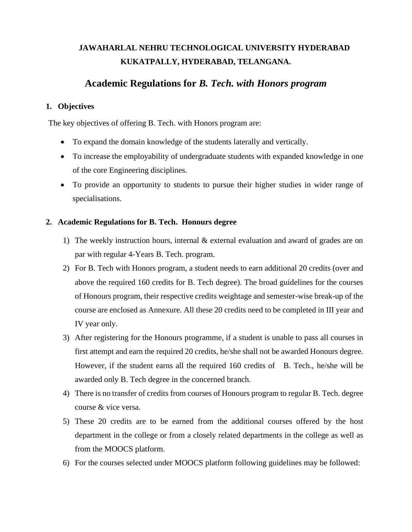## **JAWAHARLAL NEHRU TECHNOLOGICAL UNIVERSITY HYDERABAD KUKATPALLY, HYDERABAD, TELANGANA.**

## **Academic Regulations for** *B. Tech. with Honors program*

## **1. Objectives**

The key objectives of offering B. Tech. with Honors program are:

- To expand the domain knowledge of the students laterally and vertically.
- To increase the employability of undergraduate students with expanded knowledge in one of the core Engineering disciplines.
- To provide an opportunity to students to pursue their higher studies in wider range of specialisations.

## **2. Academic Regulations for B. Tech. Honours degree**

- 1) The weekly instruction hours, internal & external evaluation and award of grades are on par with regular 4-Years B. Tech. program.
- 2) For B. Tech with Honors program, a student needs to earn additional 20 credits (over and above the required 160 credits for B. Tech degree). The broad guidelines for the courses of Honours program, their respective credits weightage and semester-wise break-up of the course are enclosed as Annexure. All these 20 credits need to be completed in III year and IV year only.
- 3) After registering for the Honours programme, if a student is unable to pass all courses in first attempt and earn the required 20 credits, he/she shall not be awarded Honours degree. However, if the student earns all the required 160 credits of B. Tech., he/she will be awarded only B. Tech degree in the concerned branch.
- 4) There is no transfer of credits from courses of Honours program to regular B. Tech. degree course & vice versa.
- 5) These 20 credits are to be earned from the additional courses offered by the host department in the college or from a closely related departments in the college as well as from the MOOCS platform.
- 6) For the courses selected under MOOCS platform following guidelines may be followed: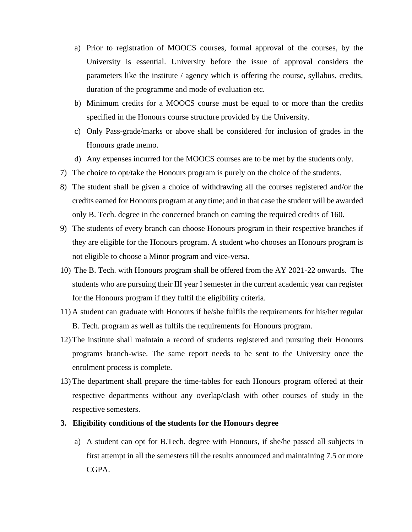- a) Prior to registration of MOOCS courses, formal approval of the courses, by the University is essential. University before the issue of approval considers the parameters like the institute / agency which is offering the course, syllabus, credits, duration of the programme and mode of evaluation etc.
- b) Minimum credits for a MOOCS course must be equal to or more than the credits specified in the Honours course structure provided by the University.
- c) Only Pass-grade/marks or above shall be considered for inclusion of grades in the Honours grade memo.
- d) Any expenses incurred for the MOOCS courses are to be met by the students only.
- 7) The choice to opt/take the Honours program is purely on the choice of the students.
- 8) The student shall be given a choice of withdrawing all the courses registered and/or the credits earned for Honours program at any time; and in that case the student will be awarded only B. Tech. degree in the concerned branch on earning the required credits of 160.
- 9) The students of every branch can choose Honours program in their respective branches if they are eligible for the Honours program. A student who chooses an Honours program is not eligible to choose a Minor program and vice-versa.
- 10) The B. Tech. with Honours program shall be offered from the AY 2021-22 onwards. The students who are pursuing their III year I semester in the current academic year can register for the Honours program if they fulfil the eligibility criteria.
- 11) A student can graduate with Honours if he/she fulfils the requirements for his/her regular B. Tech. program as well as fulfils the requirements for Honours program.
- 12) The institute shall maintain a record of students registered and pursuing their Honours programs branch-wise. The same report needs to be sent to the University once the enrolment process is complete.
- 13) The department shall prepare the time-tables for each Honours program offered at their respective departments without any overlap/clash with other courses of study in the respective semesters.

#### **3. Eligibility conditions of the students for the Honours degree**

a) A student can opt for B.Tech. degree with Honours, if she/he passed all subjects in first attempt in all the semesters till the results announced and maintaining 7.5 or more CGPA.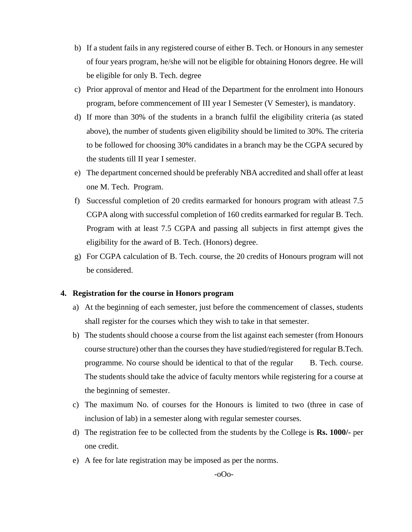- b) If a student fails in any registered course of either B. Tech. or Honours in any semester of four years program, he/she will not be eligible for obtaining Honors degree. He will be eligible for only B. Tech. degree
- c) Prior approval of mentor and Head of the Department for the enrolment into Honours program, before commencement of III year I Semester (V Semester), is mandatory.
- d) If more than 30% of the students in a branch fulfil the eligibility criteria (as stated above), the number of students given eligibility should be limited to 30%. The criteria to be followed for choosing 30% candidates in a branch may be the CGPA secured by the students till II year I semester.
- e) The department concerned should be preferably NBA accredited and shall offer at least one M. Tech. Program.
- f) Successful completion of 20 credits earmarked for honours program with atleast 7.5 CGPA along with successful completion of 160 credits earmarked for regular B. Tech. Program with at least 7.5 CGPA and passing all subjects in first attempt gives the eligibility for the award of B. Tech. (Honors) degree.
- g) For CGPA calculation of B. Tech. course, the 20 credits of Honours program will not be considered.

#### **4. Registration for the course in Honors program**

- a) At the beginning of each semester, just before the commencement of classes, students shall register for the courses which they wish to take in that semester.
- b) The students should choose a course from the list against each semester (from Honours course structure) other than the courses they have studied/registered for regular B.Tech. programme. No course should be identical to that of the regular B. Tech. course. The students should take the advice of faculty mentors while registering for a course at the beginning of semester.
- c) The maximum No. of courses for the Honours is limited to two (three in case of inclusion of lab) in a semester along with regular semester courses.
- d) The registration fee to be collected from the students by the College is **Rs. 1000/-** per one credit.
- e) A fee for late registration may be imposed as per the norms.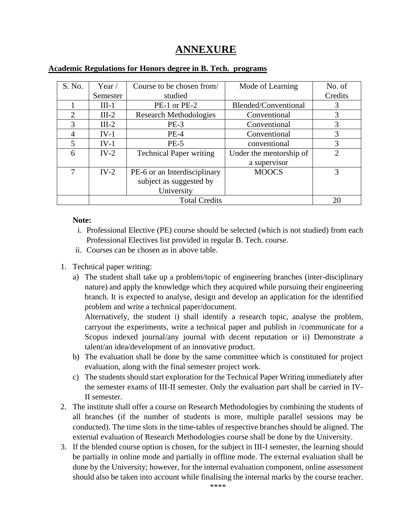# **ANNEXURE**

| S. No.         | Year $/$             | Course to be chosen from/      | Mode of Learning        | No. of  |
|----------------|----------------------|--------------------------------|-------------------------|---------|
|                | Semester             | studied                        |                         | Credits |
|                | $III-1$              | PE-1 or PE-2                   | Blended/Conventional    | 3       |
| $\overline{2}$ | $III-2$              | <b>Research Methodologies</b>  | Conventional            | 3       |
| $\mathcal{R}$  | $III-2$              | $PE-3$                         | Conventional            | 3       |
| 4              | $IV-1$               | $PE-4$                         | Conventional            | 3       |
| 5              | $IV-1$               | $PE-5$                         | conventional            | 3       |
| 6              | $IV-2$               | <b>Technical Paper writing</b> | Under the mentorship of | ↑       |
|                |                      |                                | a supervisor            |         |
| 7              | $IV-2$               | PE-6 or an Interdisciplinary   | <b>MOOCS</b>            | 3       |
|                |                      | subject as suggested by        |                         |         |
|                |                      | University                     |                         |         |
|                | <b>Total Credits</b> |                                |                         | 20      |

## **Academic Regulations for Honors degree in B. Tech. programs**

## **Note:**

- i. Professional Elective (PE) course should be selected (which is not studied) from each Professional Electives list provided in regular B. Tech. course.
- ii. Courses can be chosen as in above table.
- 1. Technical paper writing:
	- a) The student shall take up a problem/topic of engineering branches (inter-disciplinary nature) and apply the knowledge which they acquired while pursuing their engineering branch. It is expected to analyse, design and develop an application for the identified problem and write a technical paper/document.

Alternatively, the student i) shall identify a research topic, analyse the problem, carryout the experiments, write a technical paper and publish in /communicate for a Scopus indexed journal/any journal with decent reputation or ii) Demonstrate a talent/an idea/development of an innovative product.

- b) The evaluation shall be done by the same committee which is constituted for project evaluation, along with the final semester project work.
- c) The students should start exploration for the Technical Paper Writing immediately after the semester exams of III-II semester. Only the evaluation part shall be carried in IV-II semester.
- 2. The institute shall offer a course on Research Methodologies by combining the students of all branches (if the number of students is more, multiple parallel sessions may be conducted). The time slots in the time-tables of respective branches should be aligned. The external evaluation of Research Methodologies course shall be done by the University.
- 3. If the blended course option is chosen, for the subject in III-I semester, the learning should be partially in online mode and partially in offline mode. The external evaluation shall be done by the University; however, for the internal evaluation component, online assessment should also be taken into account while finalising the internal marks by the course teacher.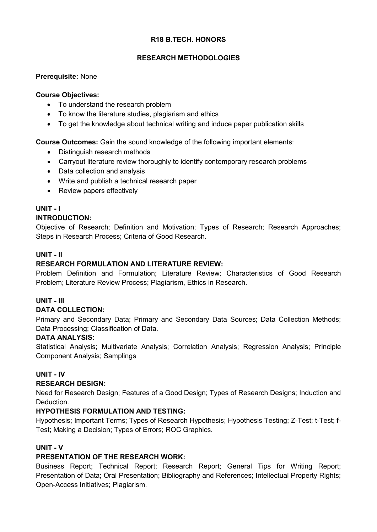## **R18 B.TECH. HONORS**

## **RESEARCH METHODOLOGIES**

## **Prerequisite:** None

## **Course Objectives:**

- To understand the research problem
- To know the literature studies, plagiarism and ethics
- To get the knowledge about technical writing and induce paper publication skills

**Course Outcomes:** Gain the sound knowledge of the following important elements:

- Distinguish research methods
- Carryout literature review thoroughly to identify contemporary research problems
- Data collection and analysis
- Write and publish a technical research paper
- Review papers effectively

# **UNIT - I**

## **INTRODUCTION:**

Objective of Research; Definition and Motivation; Types of Research; Research Approaches; Steps in Research Process; Criteria of Good Research.

## **UNIT - II**

## **RESEARCH FORMULATION AND LITERATURE REVIEW:**

Problem Definition and Formulation; Literature Review; Characteristics of Good Research Problem; Literature Review Process; Plagiarism, Ethics in Research.

## **UNIT - III**

## **DATA COLLECTION:**

Primary and Secondary Data; Primary and Secondary Data Sources; Data Collection Methods; Data Processing; Classification of Data.

## **DATA ANALYSIS:**

Statistical Analysis; Multivariate Analysis; Correlation Analysis; Regression Analysis; Principle Component Analysis; Samplings

## **UNIT - IV**

## **RESEARCH DESIGN:**

Need for Research Design; Features of a Good Design; Types of Research Designs; Induction and Deduction.

## **HYPOTHESIS FORMULATION AND TESTING:**

Hypothesis; Important Terms; Types of Research Hypothesis; Hypothesis Testing; Z-Test; t-Test; f-Test; Making a Decision; Types of Errors; ROC Graphics.

## **UNIT - V**

## **PRESENTATION OF THE RESEARCH WORK:**

Business Report; Technical Report; Research Report; General Tips for Writing Report; Presentation of Data; Oral Presentation; Bibliography and References; Intellectual Property Rights; Open-Access Initiatives; Plagiarism.